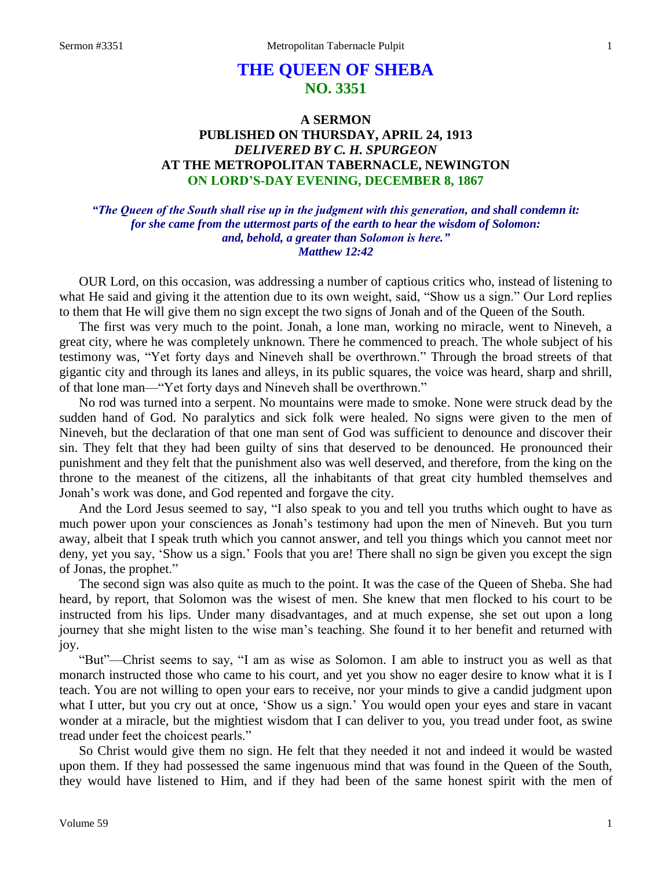# **THE QUEEN OF SHEBA NO. 3351**

## **A SERMON PUBLISHED ON THURSDAY, APRIL 24, 1913** *DELIVERED BY C. H. SPURGEON* **AT THE METROPOLITAN TABERNACLE, NEWINGTON ON LORD'S-DAY EVENING, DECEMBER 8, 1867**

*"The Queen of the South shall rise up in the judgment with this generation, and shall condemn it: for she came from the uttermost parts of the earth to hear the wisdom of Solomon: and, behold, a greater than Solomon is here." Matthew 12:42*

OUR Lord, on this occasion, was addressing a number of captious critics who, instead of listening to what He said and giving it the attention due to its own weight, said, "Show us a sign." Our Lord replies to them that He will give them no sign except the two signs of Jonah and of the Queen of the South.

The first was very much to the point. Jonah, a lone man, working no miracle, went to Nineveh, a great city, where he was completely unknown. There he commenced to preach. The whole subject of his testimony was, "Yet forty days and Nineveh shall be overthrown." Through the broad streets of that gigantic city and through its lanes and alleys, in its public squares, the voice was heard, sharp and shrill, of that lone man—"Yet forty days and Nineveh shall be overthrown."

No rod was turned into a serpent. No mountains were made to smoke. None were struck dead by the sudden hand of God. No paralytics and sick folk were healed. No signs were given to the men of Nineveh, but the declaration of that one man sent of God was sufficient to denounce and discover their sin. They felt that they had been guilty of sins that deserved to be denounced. He pronounced their punishment and they felt that the punishment also was well deserved, and therefore, from the king on the throne to the meanest of the citizens, all the inhabitants of that great city humbled themselves and Jonah's work was done, and God repented and forgave the city.

And the Lord Jesus seemed to say, "I also speak to you and tell you truths which ought to have as much power upon your consciences as Jonah's testimony had upon the men of Nineveh. But you turn away, albeit that I speak truth which you cannot answer, and tell you things which you cannot meet nor deny, yet you say, 'Show us a sign.' Fools that you are! There shall no sign be given you except the sign of Jonas, the prophet."

The second sign was also quite as much to the point. It was the case of the Queen of Sheba. She had heard, by report, that Solomon was the wisest of men. She knew that men flocked to his court to be instructed from his lips. Under many disadvantages, and at much expense, she set out upon a long journey that she might listen to the wise man's teaching. She found it to her benefit and returned with joy.

"But"—Christ seems to say, "I am as wise as Solomon. I am able to instruct you as well as that monarch instructed those who came to his court, and yet you show no eager desire to know what it is I teach. You are not willing to open your ears to receive, nor your minds to give a candid judgment upon what I utter, but you cry out at once, 'Show us a sign.' You would open your eyes and stare in vacant wonder at a miracle, but the mightiest wisdom that I can deliver to you, you tread under foot, as swine tread under feet the choicest pearls."

So Christ would give them no sign. He felt that they needed it not and indeed it would be wasted upon them. If they had possessed the same ingenuous mind that was found in the Queen of the South, they would have listened to Him, and if they had been of the same honest spirit with the men of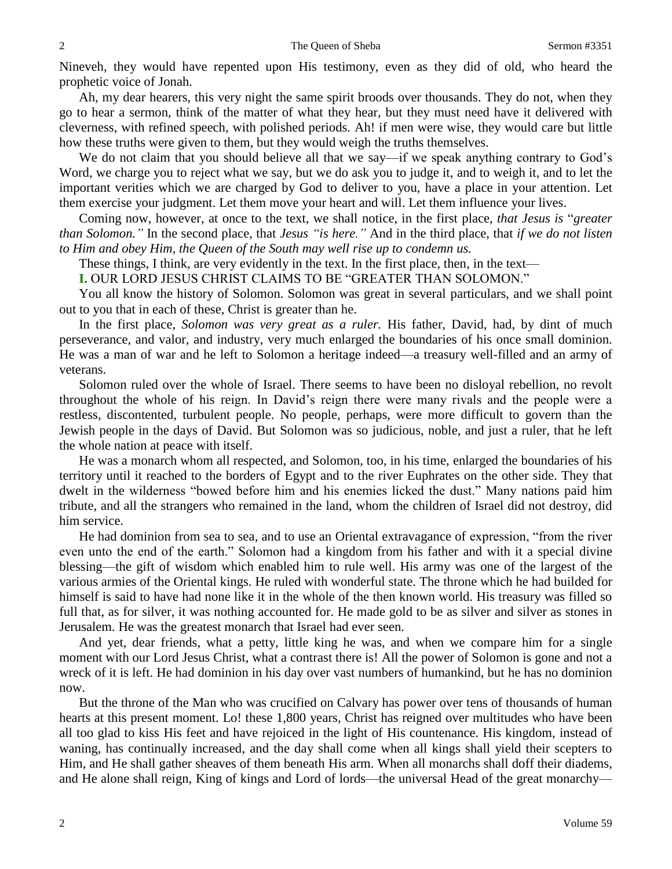Nineveh, they would have repented upon His testimony, even as they did of old, who heard the prophetic voice of Jonah.

Ah, my dear hearers, this very night the same spirit broods over thousands. They do not, when they go to hear a sermon, think of the matter of what they hear, but they must need have it delivered with cleverness, with refined speech, with polished periods. Ah! if men were wise, they would care but little how these truths were given to them, but they would weigh the truths themselves.

We do not claim that you should believe all that we say—if we speak anything contrary to God's Word, we charge you to reject what we say, but we do ask you to judge it, and to weigh it, and to let the important verities which we are charged by God to deliver to you, have a place in your attention. Let them exercise your judgment. Let them move your heart and will. Let them influence your lives.

Coming now, however, at once to the text, we shall notice, in the first place, *that Jesus is* "*greater than Solomon."* In the second place, that *Jesus "is here."* And in the third place, that *if we do not listen to Him and obey Him, the Queen of the South may well rise up to condemn us.*

These things, I think, are very evidently in the text. In the first place, then, in the text—

**I.** OUR LORD JESUS CHRIST CLAIMS TO BE "GREATER THAN SOLOMON."

You all know the history of Solomon. Solomon was great in several particulars, and we shall point out to you that in each of these, Christ is greater than he.

In the first place, *Solomon was very great as a ruler.* His father, David, had, by dint of much perseverance, and valor, and industry, very much enlarged the boundaries of his once small dominion. He was a man of war and he left to Solomon a heritage indeed—a treasury well-filled and an army of veterans.

Solomon ruled over the whole of Israel. There seems to have been no disloyal rebellion, no revolt throughout the whole of his reign. In David's reign there were many rivals and the people were a restless, discontented, turbulent people. No people, perhaps, were more difficult to govern than the Jewish people in the days of David. But Solomon was so judicious, noble, and just a ruler, that he left the whole nation at peace with itself.

He was a monarch whom all respected, and Solomon, too, in his time, enlarged the boundaries of his territory until it reached to the borders of Egypt and to the river Euphrates on the other side. They that dwelt in the wilderness "bowed before him and his enemies licked the dust." Many nations paid him tribute, and all the strangers who remained in the land, whom the children of Israel did not destroy, did him service.

He had dominion from sea to sea, and to use an Oriental extravagance of expression, "from the river even unto the end of the earth." Solomon had a kingdom from his father and with it a special divine blessing—the gift of wisdom which enabled him to rule well. His army was one of the largest of the various armies of the Oriental kings. He ruled with wonderful state. The throne which he had builded for himself is said to have had none like it in the whole of the then known world. His treasury was filled so full that, as for silver, it was nothing accounted for. He made gold to be as silver and silver as stones in Jerusalem. He was the greatest monarch that Israel had ever seen.

And yet, dear friends, what a petty, little king he was, and when we compare him for a single moment with our Lord Jesus Christ, what a contrast there is! All the power of Solomon is gone and not a wreck of it is left. He had dominion in his day over vast numbers of humankind, but he has no dominion now.

But the throne of the Man who was crucified on Calvary has power over tens of thousands of human hearts at this present moment. Lo! these 1,800 years, Christ has reigned over multitudes who have been all too glad to kiss His feet and have rejoiced in the light of His countenance. His kingdom, instead of waning, has continually increased, and the day shall come when all kings shall yield their scepters to Him, and He shall gather sheaves of them beneath His arm. When all monarchs shall doff their diadems, and He alone shall reign, King of kings and Lord of lords—the universal Head of the great monarchy—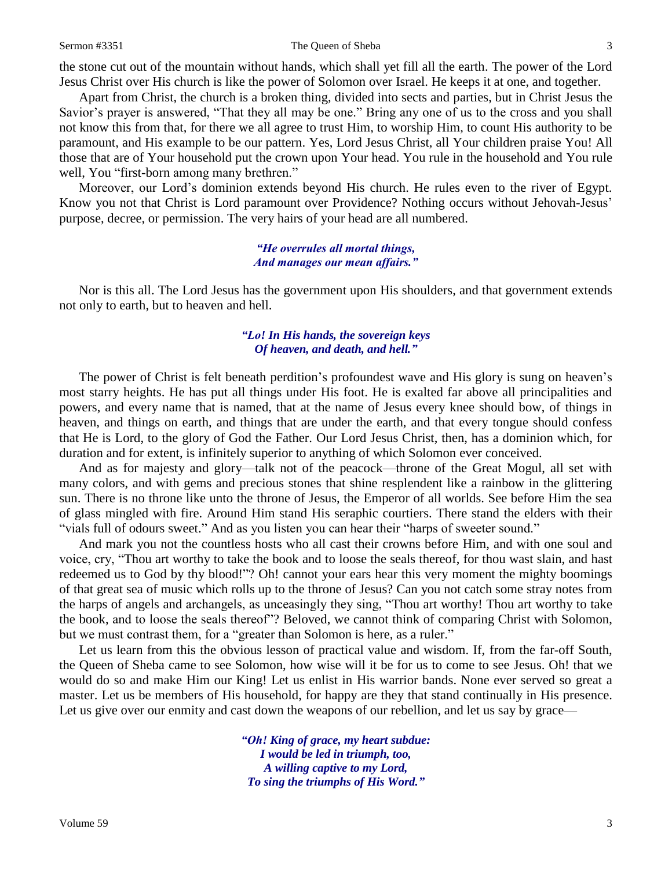#### Sermon #3351 The Queen of Sheba 3

the stone cut out of the mountain without hands, which shall yet fill all the earth. The power of the Lord Jesus Christ over His church is like the power of Solomon over Israel. He keeps it at one, and together.

Apart from Christ, the church is a broken thing, divided into sects and parties, but in Christ Jesus the Savior's prayer is answered, "That they all may be one." Bring any one of us to the cross and you shall not know this from that, for there we all agree to trust Him, to worship Him, to count His authority to be paramount, and His example to be our pattern. Yes, Lord Jesus Christ, all Your children praise You! All those that are of Your household put the crown upon Your head. You rule in the household and You rule well, You "first-born among many brethren."

Moreover, our Lord's dominion extends beyond His church. He rules even to the river of Egypt. Know you not that Christ is Lord paramount over Providence? Nothing occurs without Jehovah-Jesus' purpose, decree, or permission. The very hairs of your head are all numbered.

## *"He overrules all mortal things, And manages our mean affairs."*

Nor is this all. The Lord Jesus has the government upon His shoulders, and that government extends not only to earth, but to heaven and hell.

## *"Lo! In His hands, the sovereign keys Of heaven, and death, and hell."*

The power of Christ is felt beneath perdition's profoundest wave and His glory is sung on heaven's most starry heights. He has put all things under His foot. He is exalted far above all principalities and powers, and every name that is named, that at the name of Jesus every knee should bow, of things in heaven, and things on earth, and things that are under the earth, and that every tongue should confess that He is Lord, to the glory of God the Father. Our Lord Jesus Christ, then, has a dominion which, for duration and for extent, is infinitely superior to anything of which Solomon ever conceived.

And as for majesty and glory—talk not of the peacock—throne of the Great Mogul, all set with many colors, and with gems and precious stones that shine resplendent like a rainbow in the glittering sun. There is no throne like unto the throne of Jesus, the Emperor of all worlds. See before Him the sea of glass mingled with fire. Around Him stand His seraphic courtiers. There stand the elders with their "vials full of odours sweet." And as you listen you can hear their "harps of sweeter sound."

And mark you not the countless hosts who all cast their crowns before Him, and with one soul and voice, cry, "Thou art worthy to take the book and to loose the seals thereof, for thou wast slain, and hast redeemed us to God by thy blood!"? Oh! cannot your ears hear this very moment the mighty boomings of that great sea of music which rolls up to the throne of Jesus? Can you not catch some stray notes from the harps of angels and archangels, as unceasingly they sing, "Thou art worthy! Thou art worthy to take the book, and to loose the seals thereof"? Beloved, we cannot think of comparing Christ with Solomon, but we must contrast them, for a "greater than Solomon is here, as a ruler."

Let us learn from this the obvious lesson of practical value and wisdom. If, from the far-off South, the Queen of Sheba came to see Solomon, how wise will it be for us to come to see Jesus. Oh! that we would do so and make Him our King! Let us enlist in His warrior bands. None ever served so great a master. Let us be members of His household, for happy are they that stand continually in His presence. Let us give over our enmity and cast down the weapons of our rebellion, and let us say by grace—

> *"Oh! King of grace, my heart subdue: I would be led in triumph, too, A willing captive to my Lord, To sing the triumphs of His Word."*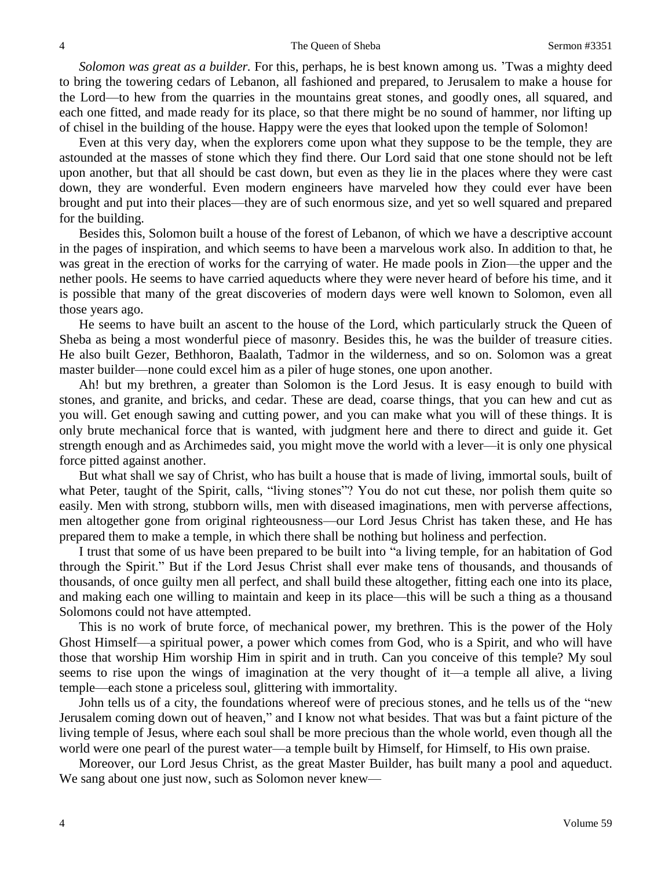*Solomon was great as a builder.* For this, perhaps, he is best known among us. 'Twas a mighty deed to bring the towering cedars of Lebanon, all fashioned and prepared, to Jerusalem to make a house for the Lord—to hew from the quarries in the mountains great stones, and goodly ones, all squared, and each one fitted, and made ready for its place, so that there might be no sound of hammer, nor lifting up of chisel in the building of the house. Happy were the eyes that looked upon the temple of Solomon!

Even at this very day, when the explorers come upon what they suppose to be the temple, they are astounded at the masses of stone which they find there. Our Lord said that one stone should not be left upon another, but that all should be cast down, but even as they lie in the places where they were cast down, they are wonderful. Even modern engineers have marveled how they could ever have been brought and put into their places—they are of such enormous size, and yet so well squared and prepared for the building.

Besides this, Solomon built a house of the forest of Lebanon, of which we have a descriptive account in the pages of inspiration, and which seems to have been a marvelous work also. In addition to that, he was great in the erection of works for the carrying of water. He made pools in Zion—the upper and the nether pools. He seems to have carried aqueducts where they were never heard of before his time, and it is possible that many of the great discoveries of modern days were well known to Solomon, even all those years ago.

He seems to have built an ascent to the house of the Lord, which particularly struck the Queen of Sheba as being a most wonderful piece of masonry. Besides this, he was the builder of treasure cities. He also built Gezer, Bethhoron, Baalath, Tadmor in the wilderness, and so on. Solomon was a great master builder—none could excel him as a piler of huge stones, one upon another.

Ah! but my brethren, a greater than Solomon is the Lord Jesus. It is easy enough to build with stones, and granite, and bricks, and cedar. These are dead, coarse things, that you can hew and cut as you will. Get enough sawing and cutting power, and you can make what you will of these things. It is only brute mechanical force that is wanted, with judgment here and there to direct and guide it. Get strength enough and as Archimedes said, you might move the world with a lever—it is only one physical force pitted against another.

But what shall we say of Christ, who has built a house that is made of living, immortal souls, built of what Peter, taught of the Spirit, calls, "living stones"? You do not cut these, nor polish them quite so easily. Men with strong, stubborn wills, men with diseased imaginations, men with perverse affections, men altogether gone from original righteousness—our Lord Jesus Christ has taken these, and He has prepared them to make a temple, in which there shall be nothing but holiness and perfection.

I trust that some of us have been prepared to be built into "a living temple, for an habitation of God through the Spirit." But if the Lord Jesus Christ shall ever make tens of thousands, and thousands of thousands, of once guilty men all perfect, and shall build these altogether, fitting each one into its place, and making each one willing to maintain and keep in its place—this will be such a thing as a thousand Solomons could not have attempted.

This is no work of brute force, of mechanical power, my brethren. This is the power of the Holy Ghost Himself—a spiritual power, a power which comes from God, who is a Spirit, and who will have those that worship Him worship Him in spirit and in truth. Can you conceive of this temple? My soul seems to rise upon the wings of imagination at the very thought of it—a temple all alive, a living temple—each stone a priceless soul, glittering with immortality.

John tells us of a city, the foundations whereof were of precious stones, and he tells us of the "new Jerusalem coming down out of heaven," and I know not what besides. That was but a faint picture of the living temple of Jesus, where each soul shall be more precious than the whole world, even though all the world were one pearl of the purest water—a temple built by Himself, for Himself, to His own praise.

Moreover, our Lord Jesus Christ, as the great Master Builder, has built many a pool and aqueduct. We sang about one just now, such as Solomon never knew—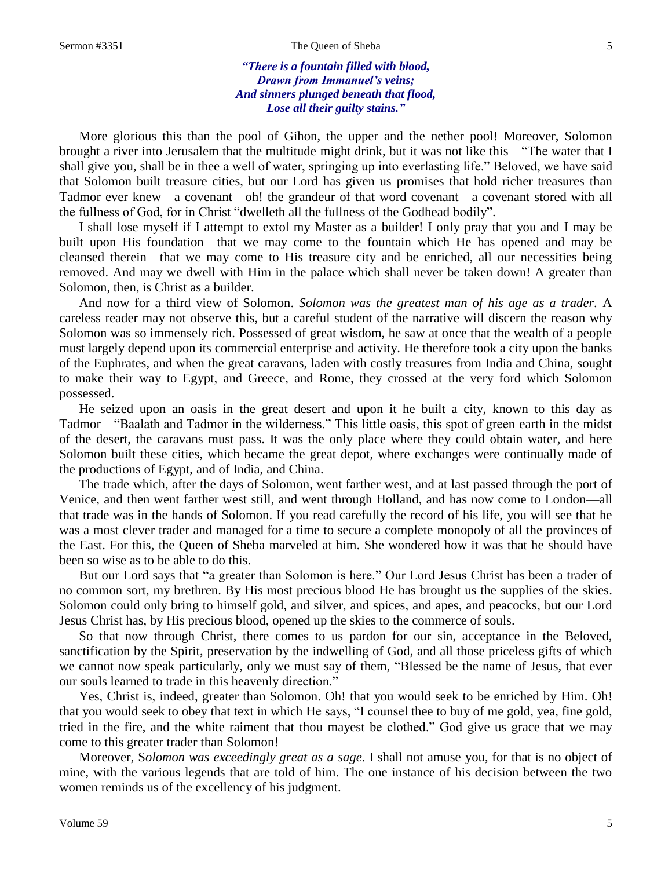#### Sermon #3351 The Queen of Sheba 5

## *"There is a fountain filled with blood, Drawn from Immanuel's veins; And sinners plunged beneath that flood, Lose all their guilty stains."*

More glorious this than the pool of Gihon, the upper and the nether pool! Moreover, Solomon brought a river into Jerusalem that the multitude might drink, but it was not like this—"The water that I shall give you, shall be in thee a well of water, springing up into everlasting life." Beloved, we have said that Solomon built treasure cities, but our Lord has given us promises that hold richer treasures than Tadmor ever knew—a covenant—oh! the grandeur of that word covenant—a covenant stored with all the fullness of God, for in Christ "dwelleth all the fullness of the Godhead bodily".

I shall lose myself if I attempt to extol my Master as a builder! I only pray that you and I may be built upon His foundation—that we may come to the fountain which He has opened and may be cleansed therein—that we may come to His treasure city and be enriched, all our necessities being removed. And may we dwell with Him in the palace which shall never be taken down! A greater than Solomon, then, is Christ as a builder.

And now for a third view of Solomon. *Solomon was the greatest man of his age as a trader.* A careless reader may not observe this, but a careful student of the narrative will discern the reason why Solomon was so immensely rich. Possessed of great wisdom, he saw at once that the wealth of a people must largely depend upon its commercial enterprise and activity. He therefore took a city upon the banks of the Euphrates, and when the great caravans, laden with costly treasures from India and China, sought to make their way to Egypt, and Greece, and Rome, they crossed at the very ford which Solomon possessed.

He seized upon an oasis in the great desert and upon it he built a city, known to this day as Tadmor—"Baalath and Tadmor in the wilderness." This little oasis, this spot of green earth in the midst of the desert, the caravans must pass. It was the only place where they could obtain water, and here Solomon built these cities, which became the great depot, where exchanges were continually made of the productions of Egypt, and of India, and China.

The trade which, after the days of Solomon, went farther west, and at last passed through the port of Venice, and then went farther west still, and went through Holland, and has now come to London—all that trade was in the hands of Solomon. If you read carefully the record of his life, you will see that he was a most clever trader and managed for a time to secure a complete monopoly of all the provinces of the East. For this, the Queen of Sheba marveled at him. She wondered how it was that he should have been so wise as to be able to do this.

But our Lord says that "a greater than Solomon is here." Our Lord Jesus Christ has been a trader of no common sort, my brethren. By His most precious blood He has brought us the supplies of the skies. Solomon could only bring to himself gold, and silver, and spices, and apes, and peacocks, but our Lord Jesus Christ has, by His precious blood, opened up the skies to the commerce of souls.

So that now through Christ, there comes to us pardon for our sin, acceptance in the Beloved, sanctification by the Spirit, preservation by the indwelling of God, and all those priceless gifts of which we cannot now speak particularly, only we must say of them, "Blessed be the name of Jesus, that ever our souls learned to trade in this heavenly direction."

Yes, Christ is, indeed, greater than Solomon. Oh! that you would seek to be enriched by Him. Oh! that you would seek to obey that text in which He says, "I counsel thee to buy of me gold, yea, fine gold, tried in the fire, and the white raiment that thou mayest be clothed." God give us grace that we may come to this greater trader than Solomon!

Moreover, S*olomon was exceedingly great as a sage*. I shall not amuse you, for that is no object of mine, with the various legends that are told of him. The one instance of his decision between the two women reminds us of the excellency of his judgment.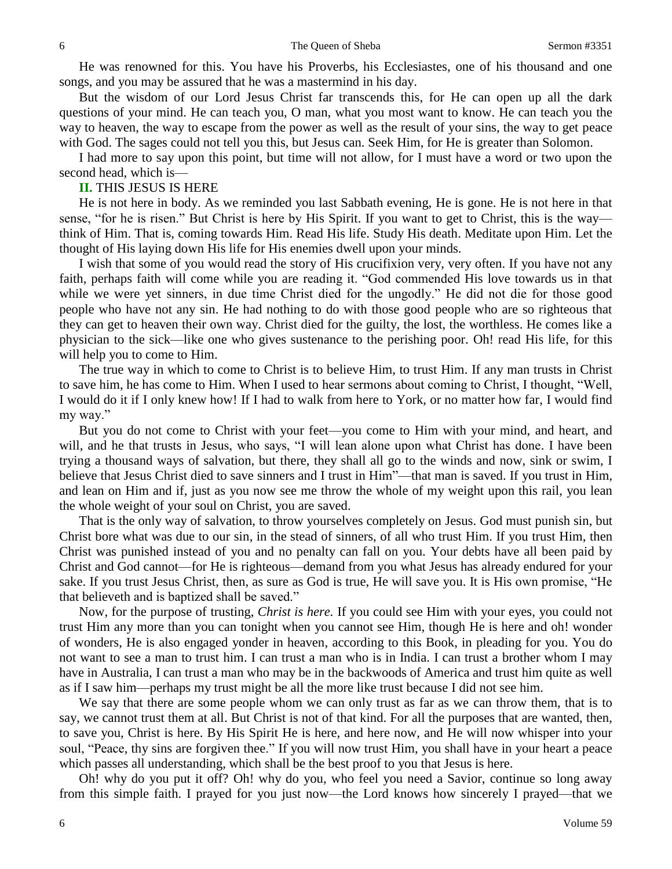He was renowned for this. You have his Proverbs, his Ecclesiastes, one of his thousand and one songs, and you may be assured that he was a mastermind in his day.

But the wisdom of our Lord Jesus Christ far transcends this, for He can open up all the dark questions of your mind. He can teach you, O man, what you most want to know. He can teach you the way to heaven, the way to escape from the power as well as the result of your sins, the way to get peace with God. The sages could not tell you this, but Jesus can. Seek Him, for He is greater than Solomon.

I had more to say upon this point, but time will not allow, for I must have a word or two upon the second head, which is—

#### **II.** THIS JESUS IS HERE

He is not here in body. As we reminded you last Sabbath evening, He is gone. He is not here in that sense, "for he is risen." But Christ is here by His Spirit. If you want to get to Christ, this is the way think of Him. That is, coming towards Him. Read His life. Study His death. Meditate upon Him. Let the thought of His laying down His life for His enemies dwell upon your minds.

I wish that some of you would read the story of His crucifixion very, very often. If you have not any faith, perhaps faith will come while you are reading it. "God commended His love towards us in that while we were yet sinners, in due time Christ died for the ungodly." He did not die for those good people who have not any sin. He had nothing to do with those good people who are so righteous that they can get to heaven their own way. Christ died for the guilty, the lost, the worthless. He comes like a physician to the sick—like one who gives sustenance to the perishing poor. Oh! read His life, for this will help you to come to Him.

The true way in which to come to Christ is to believe Him, to trust Him. If any man trusts in Christ to save him, he has come to Him. When I used to hear sermons about coming to Christ, I thought, "Well, I would do it if I only knew how! If I had to walk from here to York, or no matter how far, I would find my way."

But you do not come to Christ with your feet—you come to Him with your mind, and heart, and will, and he that trusts in Jesus, who says, "I will lean alone upon what Christ has done. I have been trying a thousand ways of salvation, but there, they shall all go to the winds and now, sink or swim, I believe that Jesus Christ died to save sinners and I trust in Him"—that man is saved. If you trust in Him, and lean on Him and if, just as you now see me throw the whole of my weight upon this rail, you lean the whole weight of your soul on Christ, you are saved.

That is the only way of salvation, to throw yourselves completely on Jesus. God must punish sin, but Christ bore what was due to our sin, in the stead of sinners, of all who trust Him. If you trust Him, then Christ was punished instead of you and no penalty can fall on you. Your debts have all been paid by Christ and God cannot—for He is righteous—demand from you what Jesus has already endured for your sake. If you trust Jesus Christ, then, as sure as God is true, He will save you. It is His own promise, "He that believeth and is baptized shall be saved."

Now, for the purpose of trusting, *Christ is here.* If you could see Him with your eyes, you could not trust Him any more than you can tonight when you cannot see Him, though He is here and oh! wonder of wonders, He is also engaged yonder in heaven, according to this Book, in pleading for you. You do not want to see a man to trust him. I can trust a man who is in India. I can trust a brother whom I may have in Australia, I can trust a man who may be in the backwoods of America and trust him quite as well as if I saw him—perhaps my trust might be all the more like trust because I did not see him.

We say that there are some people whom we can only trust as far as we can throw them, that is to say, we cannot trust them at all. But Christ is not of that kind. For all the purposes that are wanted, then, to save you, Christ is here. By His Spirit He is here, and here now, and He will now whisper into your soul, "Peace, thy sins are forgiven thee." If you will now trust Him, you shall have in your heart a peace which passes all understanding, which shall be the best proof to you that Jesus is here.

Oh! why do you put it off? Oh! why do you, who feel you need a Savior, continue so long away from this simple faith. I prayed for you just now—the Lord knows how sincerely I prayed—that we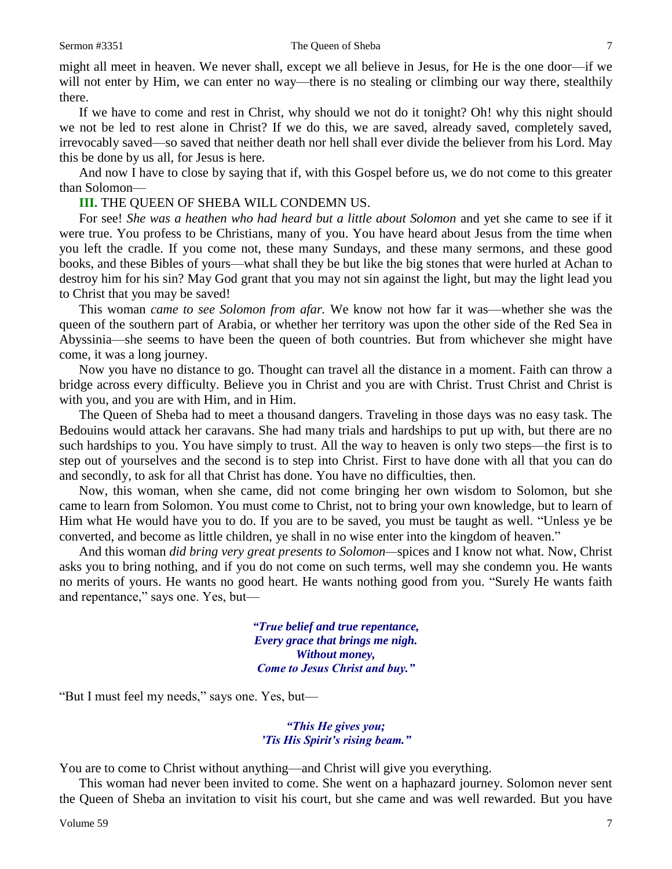might all meet in heaven. We never shall, except we all believe in Jesus, for He is the one door—if we will not enter by Him, we can enter no way—there is no stealing or climbing our way there, stealthily there.

If we have to come and rest in Christ, why should we not do it tonight? Oh! why this night should we not be led to rest alone in Christ? If we do this, we are saved, already saved, completely saved, irrevocably saved—so saved that neither death nor hell shall ever divide the believer from his Lord. May this be done by us all, for Jesus is here.

And now I have to close by saying that if, with this Gospel before us, we do not come to this greater than Solomon—

#### **III.** THE QUEEN OF SHEBA WILL CONDEMN US.

For see! *She was a heathen who had heard but a little about Solomon* and yet she came to see if it were true. You profess to be Christians, many of you. You have heard about Jesus from the time when you left the cradle. If you come not, these many Sundays, and these many sermons, and these good books, and these Bibles of yours—what shall they be but like the big stones that were hurled at Achan to destroy him for his sin? May God grant that you may not sin against the light, but may the light lead you to Christ that you may be saved!

This woman *came to see Solomon from afar.* We know not how far it was—whether she was the queen of the southern part of Arabia, or whether her territory was upon the other side of the Red Sea in Abyssinia—she seems to have been the queen of both countries. But from whichever she might have come, it was a long journey.

Now you have no distance to go. Thought can travel all the distance in a moment. Faith can throw a bridge across every difficulty. Believe you in Christ and you are with Christ. Trust Christ and Christ is with you, and you are with Him, and in Him.

The Queen of Sheba had to meet a thousand dangers. Traveling in those days was no easy task. The Bedouins would attack her caravans. She had many trials and hardships to put up with, but there are no such hardships to you. You have simply to trust. All the way to heaven is only two steps—the first is to step out of yourselves and the second is to step into Christ. First to have done with all that you can do and secondly, to ask for all that Christ has done. You have no difficulties, then.

Now, this woman, when she came, did not come bringing her own wisdom to Solomon, but she came to learn from Solomon. You must come to Christ, not to bring your own knowledge, but to learn of Him what He would have you to do. If you are to be saved, you must be taught as well. "Unless ye be converted, and become as little children, ye shall in no wise enter into the kingdom of heaven."

And this woman *did bring very great presents to Solomon—*spices and I know not what. Now, Christ asks you to bring nothing, and if you do not come on such terms, well may she condemn you. He wants no merits of yours. He wants no good heart. He wants nothing good from you. "Surely He wants faith and repentance," says one. Yes, but—

> *"True belief and true repentance, Every grace that brings me nigh. Without money, Come to Jesus Christ and buy."*

"But I must feel my needs," says one. Yes, but—

*"This He gives you; 'Tis His Spirit's rising beam."*

You are to come to Christ without anything—and Christ will give you everything.

This woman had never been invited to come. She went on a haphazard journey. Solomon never sent the Queen of Sheba an invitation to visit his court, but she came and was well rewarded. But you have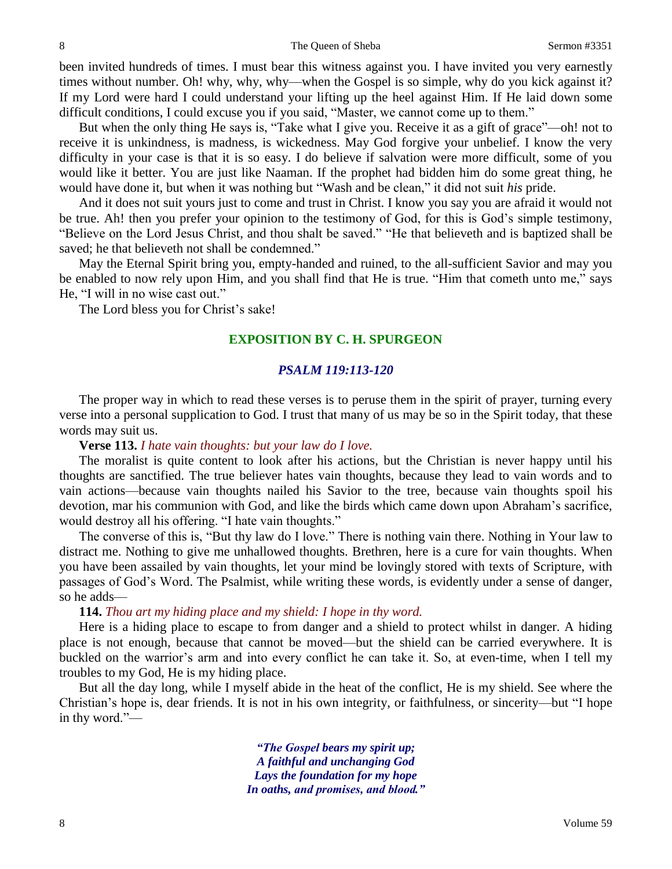been invited hundreds of times. I must bear this witness against you. I have invited you very earnestly times without number. Oh! why, why, why—when the Gospel is so simple, why do you kick against it? If my Lord were hard I could understand your lifting up the heel against Him. If He laid down some difficult conditions, I could excuse you if you said, "Master, we cannot come up to them."

But when the only thing He says is, "Take what I give you. Receive it as a gift of grace"—oh! not to receive it is unkindness, is madness, is wickedness. May God forgive your unbelief. I know the very difficulty in your case is that it is so easy. I do believe if salvation were more difficult, some of you would like it better. You are just like Naaman. If the prophet had bidden him do some great thing, he would have done it, but when it was nothing but "Wash and be clean," it did not suit *his* pride.

And it does not suit yours just to come and trust in Christ. I know you say you are afraid it would not be true. Ah! then you prefer your opinion to the testimony of God, for this is God's simple testimony, "Believe on the Lord Jesus Christ, and thou shalt be saved." "He that believeth and is baptized shall be saved; he that believeth not shall be condemned."

May the Eternal Spirit bring you, empty-handed and ruined, to the all-sufficient Savior and may you be enabled to now rely upon Him, and you shall find that He is true. "Him that cometh unto me," says He, "I will in no wise cast out."

The Lord bless you for Christ's sake!

## **EXPOSITION BY C. H. SPURGEON**

## *PSALM 119:113-120*

The proper way in which to read these verses is to peruse them in the spirit of prayer, turning every verse into a personal supplication to God. I trust that many of us may be so in the Spirit today, that these words may suit us.

### **Verse 113.** *I hate vain thoughts: but your law do I love.*

The moralist is quite content to look after his actions, but the Christian is never happy until his thoughts are sanctified. The true believer hates vain thoughts, because they lead to vain words and to vain actions—because vain thoughts nailed his Savior to the tree, because vain thoughts spoil his devotion, mar his communion with God, and like the birds which came down upon Abraham's sacrifice, would destroy all his offering. "I hate vain thoughts."

The converse of this is, "But thy law do I love." There is nothing vain there. Nothing in Your law to distract me. Nothing to give me unhallowed thoughts. Brethren, here is a cure for vain thoughts. When you have been assailed by vain thoughts, let your mind be lovingly stored with texts of Scripture, with passages of God's Word. The Psalmist, while writing these words, is evidently under a sense of danger, so he adds—

## **114.** *Thou art my hiding place and my shield: I hope in thy word.*

Here is a hiding place to escape to from danger and a shield to protect whilst in danger. A hiding place is not enough, because that cannot be moved—but the shield can be carried everywhere. It is buckled on the warrior's arm and into every conflict he can take it. So, at even-time, when I tell my troubles to my God, He is my hiding place.

But all the day long, while I myself abide in the heat of the conflict, He is my shield. See where the Christian's hope is, dear friends. It is not in his own integrity, or faithfulness, or sincerity—but "I hope in thy word."—

> *"The Gospel bears my spirit up; A faithful and unchanging God Lays the foundation for my hope In oaths, and promises, and blood."*